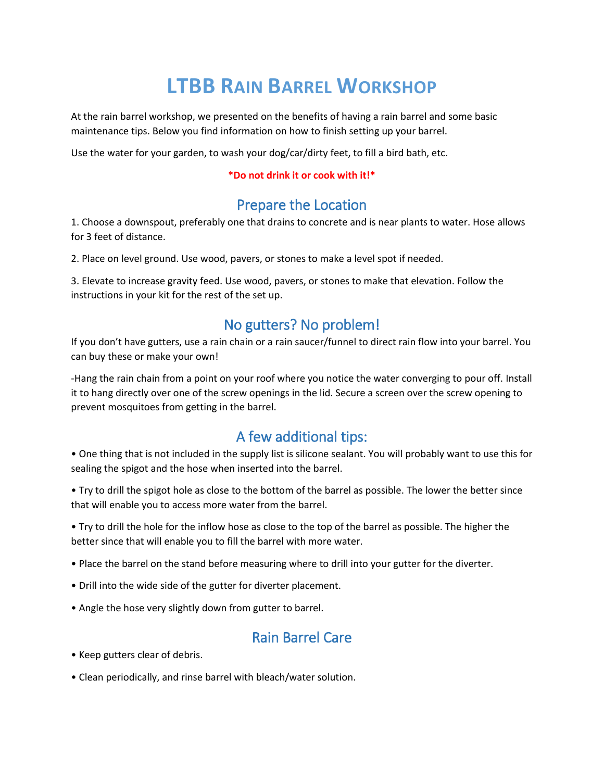# **LTBB RAIN BARREL WORKSHOP**

At the rain barrel workshop, we presented on the benefits of having a rain barrel and some basic maintenance tips. Below you find information on how to finish setting up your barrel.

Use the water for your garden, to wash your dog/car/dirty feet, to fill a bird bath, etc.

#### **\*Do not drink it or cook with it!\***

### Prepare the Location

1. Choose a downspout, preferably one that drains to concrete and is near plants to water. Hose allows for 3 feet of distance.

2. Place on level ground. Use wood, pavers, or stones to make a level spot if needed.

3. Elevate to increase gravity feed. Use wood, pavers, or stones to make that elevation. Follow the instructions in your kit for the rest of the set up.

### No gutters? No problem!

If you don't have gutters, use a rain chain or a rain saucer/funnel to direct rain flow into your barrel. You can buy these or make your own!

-Hang the rain chain from a point on your roof where you notice the water converging to pour off. Install it to hang directly over one of the screw openings in the lid. Secure a screen over the screw opening to prevent mosquitoes from getting in the barrel.

# A few additional tips:

• One thing that is not included in the supply list is silicone sealant. You will probably want to use this for sealing the spigot and the hose when inserted into the barrel.

• Try to drill the spigot hole as close to the bottom of the barrel as possible. The lower the better since that will enable you to access more water from the barrel.

• Try to drill the hole for the inflow hose as close to the top of the barrel as possible. The higher the better since that will enable you to fill the barrel with more water.

- Place the barrel on the stand before measuring where to drill into your gutter for the diverter.
- Drill into the wide side of the gutter for diverter placement.
- Angle the hose very slightly down from gutter to barrel.

### Rain Barrel Care

- Keep gutters clear of debris.
- Clean periodically, and rinse barrel with bleach/water solution.